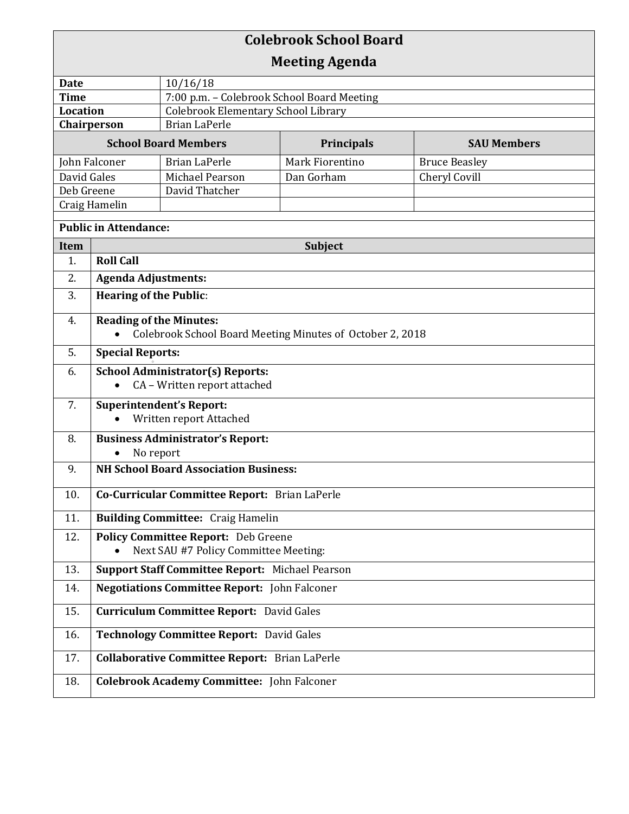| <b>Colebrook School Board</b>  |                                                                                             |                                                             |                 |                      |  |  |
|--------------------------------|---------------------------------------------------------------------------------------------|-------------------------------------------------------------|-----------------|----------------------|--|--|
| <b>Meeting Agenda</b>          |                                                                                             |                                                             |                 |                      |  |  |
| <b>Date</b><br>10/16/18        |                                                                                             |                                                             |                 |                      |  |  |
| <b>Time</b>                    |                                                                                             | 7:00 p.m. - Colebrook School Board Meeting                  |                 |                      |  |  |
| <b>Location</b><br>Chairperson |                                                                                             | Colebrook Elementary School Library<br><b>Brian LaPerle</b> |                 |                      |  |  |
| <b>School Board Members</b>    |                                                                                             | Principals<br><b>SAU Members</b>                            |                 |                      |  |  |
| John Falconer                  |                                                                                             | <b>Brian LaPerle</b>                                        | Mark Fiorentino | <b>Bruce Beasley</b> |  |  |
| David Gales                    |                                                                                             | Michael Pearson                                             | Dan Gorham      | Cheryl Covill        |  |  |
| Deb Greene                     |                                                                                             | David Thatcher                                              |                 |                      |  |  |
| Craig Hamelin                  |                                                                                             |                                                             |                 |                      |  |  |
| <b>Public in Attendance:</b>   |                                                                                             |                                                             |                 |                      |  |  |
| Item                           | Subject                                                                                     |                                                             |                 |                      |  |  |
| 1.                             | <b>Roll Call</b>                                                                            |                                                             |                 |                      |  |  |
| 2.                             | <b>Agenda Adjustments:</b>                                                                  |                                                             |                 |                      |  |  |
| 3.                             | <b>Hearing of the Public:</b>                                                               |                                                             |                 |                      |  |  |
| 4.                             | <b>Reading of the Minutes:</b><br>Colebrook School Board Meeting Minutes of October 2, 2018 |                                                             |                 |                      |  |  |
| 5.                             | <b>Special Reports:</b>                                                                     |                                                             |                 |                      |  |  |
| 6.                             | <b>School Administrator(s) Reports:</b>                                                     |                                                             |                 |                      |  |  |
|                                | CA - Written report attached<br>$\bullet$                                                   |                                                             |                 |                      |  |  |
| 7.                             | <b>Superintendent's Report:</b><br>Written report Attached                                  |                                                             |                 |                      |  |  |
| 8.                             | <b>Business Administrator's Report:</b>                                                     |                                                             |                 |                      |  |  |
|                                | No report                                                                                   |                                                             |                 |                      |  |  |
| 9.                             | <b>NH School Board Association Business:</b>                                                |                                                             |                 |                      |  |  |
| 10.                            | Co-Curricular Committee Report: Brian LaPerle                                               |                                                             |                 |                      |  |  |
| 11.                            | <b>Building Committee: Craig Hamelin</b>                                                    |                                                             |                 |                      |  |  |
| 12.                            | <b>Policy Committee Report:</b> Deb Greene<br>Next SAU #7 Policy Committee Meeting:         |                                                             |                 |                      |  |  |
| 13.                            | Support Staff Committee Report: Michael Pearson                                             |                                                             |                 |                      |  |  |
| 14.                            | <b>Negotiations Committee Report:</b> John Falconer                                         |                                                             |                 |                      |  |  |
| 15.                            | <b>Curriculum Committee Report: David Gales</b>                                             |                                                             |                 |                      |  |  |
| 16.                            | Technology Committee Report: David Gales                                                    |                                                             |                 |                      |  |  |
| 17.                            | <b>Collaborative Committee Report: Brian LaPerle</b>                                        |                                                             |                 |                      |  |  |
| 18.                            | <b>Colebrook Academy Committee:</b> John Falconer                                           |                                                             |                 |                      |  |  |